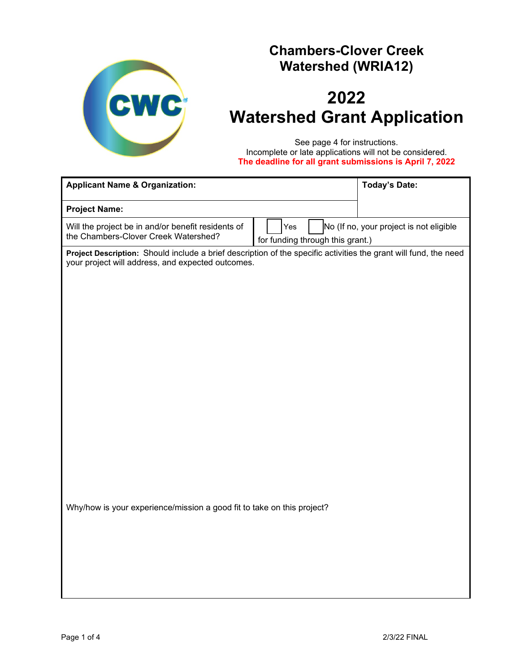

## **Chambers-Clover Creek Watershed (WRIA12)**

# **2022 Watershed Grant Application**

See page 4 for instructions. Incomplete or late applications will not be considered. **The deadline for all grant submissions is April 7, 2022**

| <b>Applicant Name &amp; Organization:</b>                                                                                                                             |                                         |  | <b>Today's Date:</b>                    |  |  |  |  |  |  |
|-----------------------------------------------------------------------------------------------------------------------------------------------------------------------|-----------------------------------------|--|-----------------------------------------|--|--|--|--|--|--|
| <b>Project Name:</b>                                                                                                                                                  |                                         |  |                                         |  |  |  |  |  |  |
| Will the project be in and/or benefit residents of<br>the Chambers-Clover Creek Watershed?                                                                            | Yes<br>for funding through this grant.) |  | No (If no, your project is not eligible |  |  |  |  |  |  |
| Project Description: Should include a brief description of the specific activities the grant will fund, the need<br>your project will address, and expected outcomes. |                                         |  |                                         |  |  |  |  |  |  |
|                                                                                                                                                                       |                                         |  |                                         |  |  |  |  |  |  |
|                                                                                                                                                                       |                                         |  |                                         |  |  |  |  |  |  |
|                                                                                                                                                                       |                                         |  |                                         |  |  |  |  |  |  |
|                                                                                                                                                                       |                                         |  |                                         |  |  |  |  |  |  |
|                                                                                                                                                                       |                                         |  |                                         |  |  |  |  |  |  |
|                                                                                                                                                                       |                                         |  |                                         |  |  |  |  |  |  |
|                                                                                                                                                                       |                                         |  |                                         |  |  |  |  |  |  |
|                                                                                                                                                                       |                                         |  |                                         |  |  |  |  |  |  |
|                                                                                                                                                                       |                                         |  |                                         |  |  |  |  |  |  |
|                                                                                                                                                                       |                                         |  |                                         |  |  |  |  |  |  |
| Why/how is your experience/mission a good fit to take on this project?                                                                                                |                                         |  |                                         |  |  |  |  |  |  |
|                                                                                                                                                                       |                                         |  |                                         |  |  |  |  |  |  |
|                                                                                                                                                                       |                                         |  |                                         |  |  |  |  |  |  |
|                                                                                                                                                                       |                                         |  |                                         |  |  |  |  |  |  |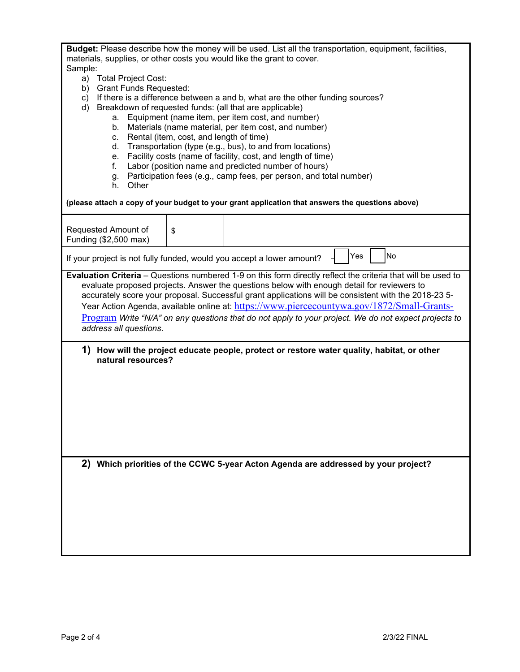| <b>Budget:</b> Please describe how the money will be used. List all the transportation, equipment, facilities, |
|----------------------------------------------------------------------------------------------------------------|
| materials, supplies, or other costs you would like the grant to cover.                                         |
| Sample:                                                                                                        |

- a) Total Project Cost:
- b) Grant Funds Requested:
- c) If there is a difference between a and b, what are the other funding sources?
- d) Breakdown of requested funds: (all that are applicable)
	- a. Equipment (name item, per item cost, and number)
	- b. Materials (name material, per item cost, and number)
	- c. Rental (item, cost, and length of time)
	- d. Transportation (type (e.g., bus), to and from locations)
	- e. Facility costs (name of facility, cost, and length of time)
	- f. Labor (position name and predicted number of hours)
	- g. Participation fees (e.g., camp fees, per person, and total number)
	- h. Other

#### **(please attach a copy of your budget to your grant application that answers the questions above)**

| Requested Amount of<br>Funding (\$2,500 max)                                                                                                                                                                                                                                                                                                                                                                                                                                                                                                       | \$ |                                                                                    |  |  |  |  |  |  |  |
|----------------------------------------------------------------------------------------------------------------------------------------------------------------------------------------------------------------------------------------------------------------------------------------------------------------------------------------------------------------------------------------------------------------------------------------------------------------------------------------------------------------------------------------------------|----|------------------------------------------------------------------------------------|--|--|--|--|--|--|--|
| <b>No</b><br><b>Yes</b><br>If your project is not fully funded, would you accept a lower amount?                                                                                                                                                                                                                                                                                                                                                                                                                                                   |    |                                                                                    |  |  |  |  |  |  |  |
| Evaluation Criteria - Questions numbered 1-9 on this form directly reflect the criteria that will be used to<br>evaluate proposed projects. Answer the questions below with enough detail for reviewers to<br>accurately score your proposal. Successful grant applications will be consistent with the 2018-23 5-<br>Year Action Agenda, available online at: https://www.piercecountywa.gov/1872/Small-Grants-<br>Program Write "N/A" on any questions that do not apply to your project. We do not expect projects to<br>address all questions. |    |                                                                                    |  |  |  |  |  |  |  |
| 1)<br>How will the project educate people, protect or restore water quality, habitat, or other<br>natural resources?                                                                                                                                                                                                                                                                                                                                                                                                                               |    |                                                                                    |  |  |  |  |  |  |  |
|                                                                                                                                                                                                                                                                                                                                                                                                                                                                                                                                                    |    |                                                                                    |  |  |  |  |  |  |  |
|                                                                                                                                                                                                                                                                                                                                                                                                                                                                                                                                                    |    |                                                                                    |  |  |  |  |  |  |  |
|                                                                                                                                                                                                                                                                                                                                                                                                                                                                                                                                                    |    | 2) Which priorities of the CCWC 5-year Acton Agenda are addressed by your project? |  |  |  |  |  |  |  |
|                                                                                                                                                                                                                                                                                                                                                                                                                                                                                                                                                    |    |                                                                                    |  |  |  |  |  |  |  |
|                                                                                                                                                                                                                                                                                                                                                                                                                                                                                                                                                    |    |                                                                                    |  |  |  |  |  |  |  |
|                                                                                                                                                                                                                                                                                                                                                                                                                                                                                                                                                    |    |                                                                                    |  |  |  |  |  |  |  |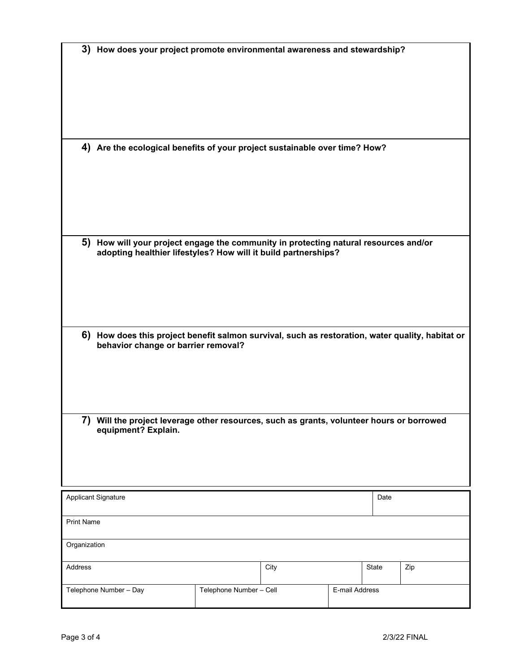| 3) How does your project promote environmental awareness and stewardship?                                                                              |                         |                |       |      |  |  |  |  |
|--------------------------------------------------------------------------------------------------------------------------------------------------------|-------------------------|----------------|-------|------|--|--|--|--|
| 4) Are the ecological benefits of your project sustainable over time? How?                                                                             |                         |                |       |      |  |  |  |  |
| 5) How will your project engage the community in protecting natural resources and/or<br>adopting healthier lifestyles? How will it build partnerships? |                         |                |       |      |  |  |  |  |
| 6) How does this project benefit salmon survival, such as restoration, water quality, habitat or<br>behavior change or barrier removal?                |                         |                |       |      |  |  |  |  |
| 7) Will the project leverage other resources, such as grants, volunteer hours or borrowed<br>equipment? Explain.                                       |                         |                |       |      |  |  |  |  |
| <b>Applicant Signature</b>                                                                                                                             |                         |                |       | Date |  |  |  |  |
| <b>Print Name</b>                                                                                                                                      |                         |                |       |      |  |  |  |  |
| Organization                                                                                                                                           |                         |                |       |      |  |  |  |  |
| Address                                                                                                                                                | City                    |                | State | Zip  |  |  |  |  |
| Telephone Number - Day                                                                                                                                 | Telephone Number - Cell | E-mail Address |       |      |  |  |  |  |